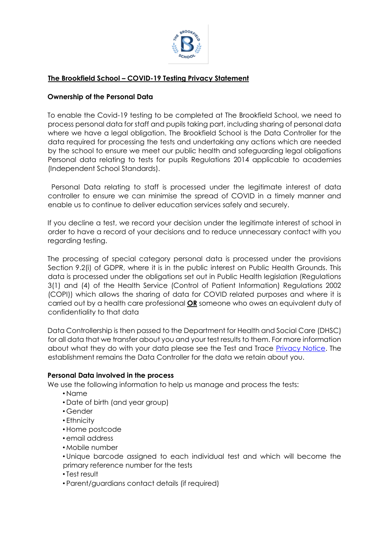

# **The Brookfield School – COVID-19 Testing Privacy Statement**

#### **Ownership of the Personal Data**

To enable the Covid-19 testing to be completed at The Brookfield School, we need to process personal data for staff and pupils taking part, including sharing of personal data where we have a legal obligation. The Brookfield School is the Data Controller for the data required for processing the tests and undertaking any actions which are needed by the school to ensure we meet our public health and safeguarding legal obligations Personal data relating to tests for pupils Regulations 2014 applicable to academies (Independent School Standards).

Personal Data relating to staff is processed under the legitimate interest of data controller to ensure we can minimise the spread of COVID in a timely manner and enable us to continue to deliver education services safely and securely.

If you decline a test, we record your decision under the legitimate interest of school in order to have a record of your decisions and to reduce unnecessary contact with you regarding testing.

The processing of special category personal data is processed under the provisions Section 9.2(i) of GDPR, where it is in the public interest on Public Health Grounds. This data is processed under the obligations set out in Public Health legislation (Regulations 3(1) and (4) of the Health Service (Control of Patient Information) Regulations 2002 (COPI)) which allows the sharing of data for COVID related purposes and where it is carried out by a health care professional **OR** someone who owes an equivalent duty of confidentiality to that data

Data Controllership is then passed to the Department for Health and Social Care (DHSC) for all data that we transfer about you and your test results to them. For more information about what they do with your data please see the Test and Trace **Privacy Notice**. The establishment remains the Data Controller for the data we retain about you.

#### **Personal Data involved in the process**

We use the following information to help us manage and process the tests:

- Name
- Date of birth (and year group)
- Gender
- Ethnicity
- Home postcode
- email address
- Mobile number
- Unique barcode assigned to each individual test and which will become the primary reference number for the tests
- Test result
- Parent/guardians contact details (if required)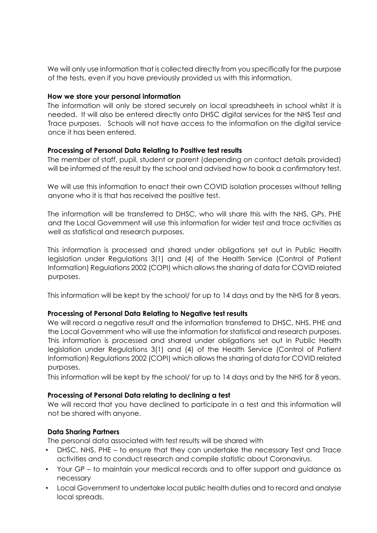We will only use information that is collected directly from you specifically for the purpose of the tests, even if you have previously provided us with this information.

#### **How we store your personal information**

The information will only be stored securely on local spreadsheets in school whilst it is needed. It will also be entered directly onto DHSC digital services for the NHS Test and Trace purposes. Schools will not have access to the information on the digital service once it has been entered.

## **Processing of Personal Data Relating to Positive test results**

The member of staff, pupil, student or parent (depending on contact details provided) will be informed of the result by the school and advised how to book a confirmatory test.

We will use this information to enact their own COVID isolation processes without telling anyone who it is that has received the positive test.

The information will be transferred to DHSC, who will share this with the NHS, GPs. PHE and the Local Government will use this information for wider test and trace activities as well as statistical and research purposes.

This information is processed and shared under obligations set out in Public Health legislation under Regulations 3(1) and (4) of the Health Service (Control of Patient Information) Regulations 2002 (COPI) which allows the sharing of data for COVID related purposes.

This information will be kept by the school/ for up to 14 days and by the NHS for 8 years.

## **Processing of Personal Data Relating to Negative test results**

We will record a negative result and the information transferred to DHSC, NHS. PHE and the Local Government who will use the information for statistical and research purposes. This information is processed and shared under obligations set out in Public Health legislation under Regulations 3(1) and (4) of the Health Service (Control of Patient Information) Regulations 2002 (COPI) which allows the sharing of data for COVID related purposes.

This information will be kept by the school/ for up to 14 days and by the NHS for 8 years.

## **Processing of Personal Data relating to declining a test**

We will record that you have declined to participate in a test and this information will not be shared with anyone.

## **Data Sharing Partners**

The personal data associated with test results will be shared with

- DHSC, NHS, PHE to ensure that they can undertake the necessary Test and Trace activities and to conduct research and compile statistic about Coronavirus.
- Your GP to maintain your medical records and to offer support and guidance as necessary
- Local Government to undertake local public health duties and to record and analyse local spreads.